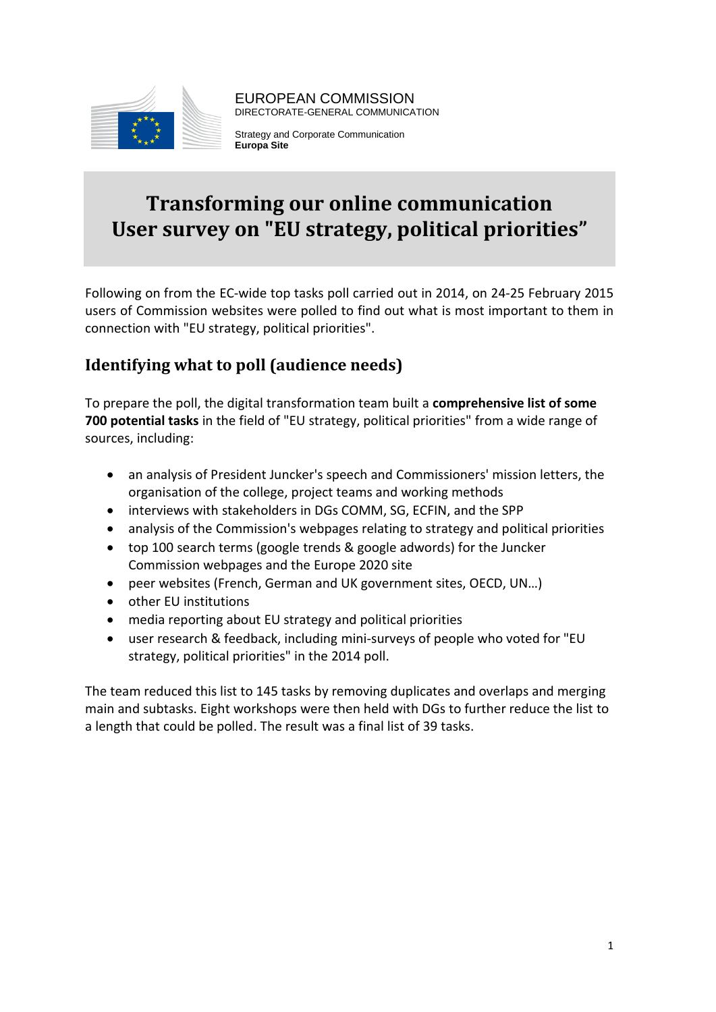

EUROPEAN COMMISSION DIRECTORATE-GENERAL COMMUNICATION

Strategy and Corporate Communication **Europa Site**

# **Transforming our online communication User survey on "EU strategy, political priorities"**

Following on from the EC-wide top tasks poll carried out in 2014, on 24-25 February 2015 users of Commission websites were polled to find out what is most important to them in connection with "EU strategy, political priorities".

## **Identifying what to poll (audience needs)**

To prepare the poll, the digital transformation team built a **comprehensive list of some 700 potential tasks** in the field of "EU strategy, political priorities" from a wide range of sources, including:

- an analysis of President Juncker's speech and Commissioners' mission letters, the organisation of the college, project teams and working methods
- interviews with stakeholders in DGs COMM, SG, ECFIN, and the SPP
- analysis of the Commission's webpages relating to strategy and political priorities
- top 100 search terms (google trends & google adwords) for the Juncker Commission webpages and the Europe 2020 site
- peer websites (French, German and UK government sites, OECD, UN…)
- other EU institutions
- media reporting about EU strategy and political priorities
- user research & feedback, including mini-surveys of people who voted for "EU strategy, political priorities" in the 2014 poll.

The team reduced this list to 145 tasks by removing duplicates and overlaps and merging main and subtasks. Eight workshops were then held with DGs to further reduce the list to a length that could be polled. The result was a final list of 39 tasks.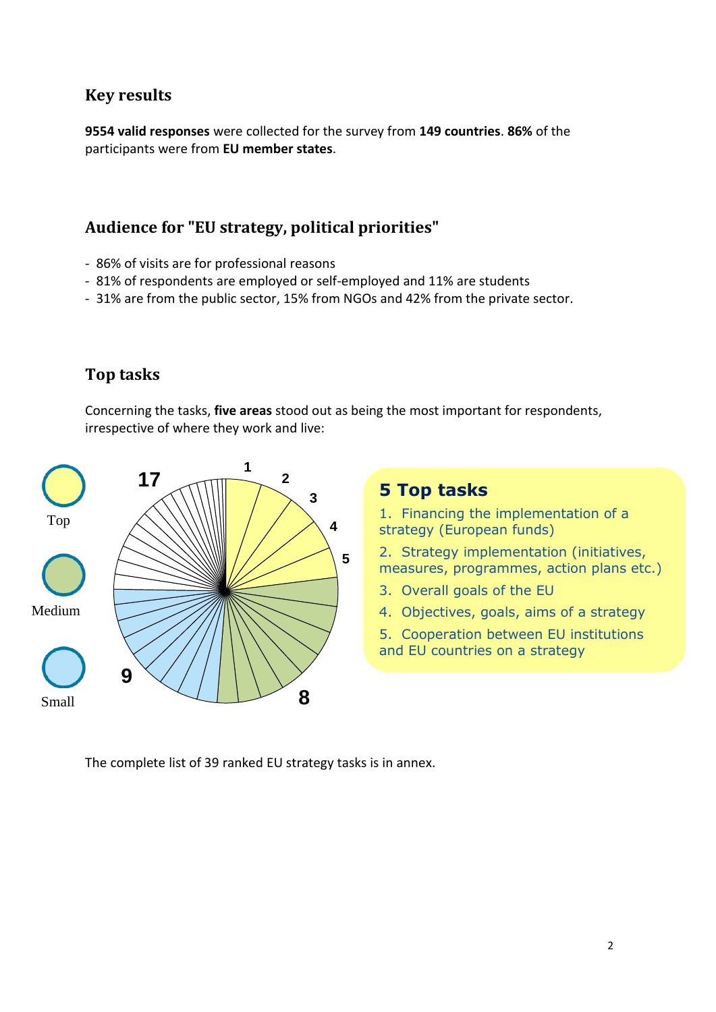## **Key results**

**9554 valid responses** were collected for the survey from **149 countries**. **86%** of the participants were from **EU member states**.

## **Audience for "EU strategy, political priorities"**

- 86% of visits are for professional reasons
- 81% of respondents are employed or self-employed and 11% are students
- 31% are from the public sector, 15% from NGOs and 42% from the private sector.

## **Top tasks**

Concerning the tasks, **five areas** stood out as being the most important for respondents, irrespective of where they work and live:



The complete list of 39 ranked EU strategy tasks is in annex.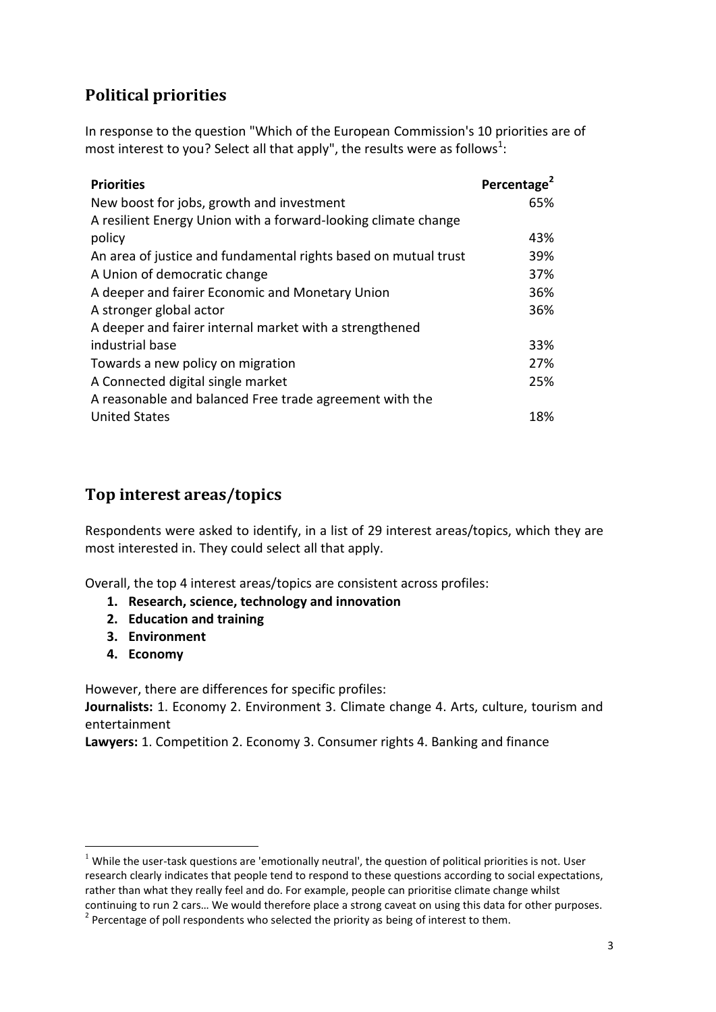## **Political priorities**

In response to the question "Which of the European Commission's 10 priorities are of most interest to you? Select all that apply", the results were as follows<sup>1</sup>:

| <b>Priorities</b>                                               | Percentage <sup>2</sup> |
|-----------------------------------------------------------------|-------------------------|
| New boost for jobs, growth and investment                       | 65%                     |
| A resilient Energy Union with a forward-looking climate change  |                         |
| policy                                                          | 43%                     |
| An area of justice and fundamental rights based on mutual trust | 39%                     |
| A Union of democratic change                                    | 37%                     |
| A deeper and fairer Economic and Monetary Union                 | 36%                     |
| A stronger global actor                                         | 36%                     |
| A deeper and fairer internal market with a strengthened         |                         |
| industrial base                                                 | 33%                     |
| Towards a new policy on migration                               | 27%                     |
| A Connected digital single market                               | 25%                     |
| A reasonable and balanced Free trade agreement with the         |                         |
| <b>United States</b>                                            | 18%                     |

### **Top interest areas/topics**

Respondents were asked to identify, in a list of 29 interest areas/topics, which they are most interested in. They could select all that apply.

Overall, the top 4 interest areas/topics are consistent across profiles:

- **1. Research, science, technology and innovation**
- **2. Education and training**
- **3. Environment**
- **4. Economy**

1

However, there are differences for specific profiles:

**Journalists:** 1. Economy 2. Environment 3. Climate change 4. Arts, culture, tourism and entertainment

**Lawyers:** 1. Competition 2. Economy 3. Consumer rights 4. Banking and finance

 $1$  While the user-task questions are 'emotionally neutral', the question of political priorities is not. User research clearly indicates that people tend to respond to these questions according to social expectations, rather than what they really feel and do. For example, people can prioritise climate change whilst continuing to run 2 cars… We would therefore place a strong caveat on using this data for other purposes.

 $2$  Percentage of poll respondents who selected the priority as being of interest to them.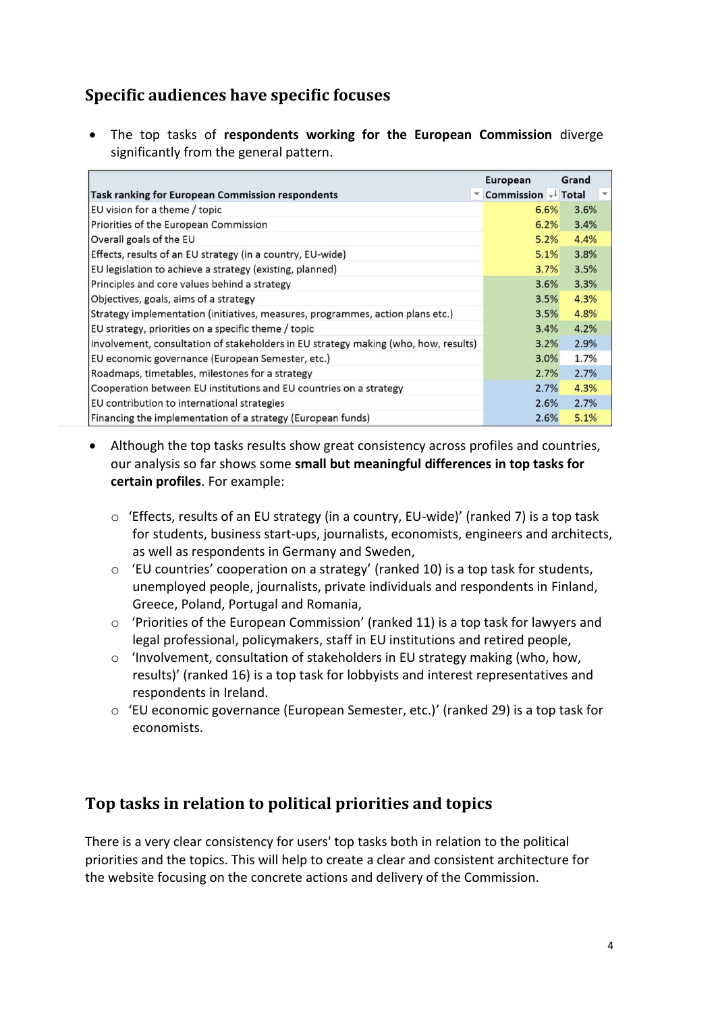## **Specific audiences have specific focuses**

 The top tasks of **respondents working for the European Commission** diverge significantly from the general pattern.

|                                                                                     | <b>European</b>    | Grand        |
|-------------------------------------------------------------------------------------|--------------------|--------------|
| Task ranking for European Commission respondents                                    | Commission + Total | $\mathbf{v}$ |
| EU vision for a theme / topic                                                       | 6.6%               | 3.6%         |
| Priorities of the European Commission                                               | 6.2%               | 3.4%         |
| Overall goals of the EU                                                             | 5.2%               | 4.4%         |
| Effects, results of an EU strategy (in a country, EU-wide)                          | 5.1%               | 3.8%         |
| EU legislation to achieve a strategy (existing, planned)                            | 3.7%               | 3.5%         |
| Principles and core values behind a strategy                                        | 3.6%               | 3.3%         |
| Objectives, goals, aims of a strategy                                               | 3.5%               | 4.3%         |
| Strategy implementation (initiatives, measures, programmes, action plans etc.)      | 3.5%               | 4.8%         |
| EU strategy, priorities on a specific theme / topic                                 | 3.4%               | 4.2%         |
| Involvement, consultation of stakeholders in EU strategy making (who, how, results) | 3.2%               | 2.9%         |
| EU economic governance (European Semester, etc.)                                    | 3.0%               | 1.7%         |
| Roadmaps, timetables, milestones for a strategy                                     | 2.7%               | 2.7%         |
| Cooperation between EU institutions and EU countries on a strategy                  | 2.7%               | 4.3%         |
| EU contribution to international strategies                                         | 2.6%               | 2.7%         |
| Financing the implementation of a strategy (European funds)                         | 2.6%               | 5.1%         |

- Although the top tasks results show great consistency across profiles and countries, our analysis so far shows some **small but meaningful differences in top tasks for certain profiles**. For example:
	- o 'Effects, results of an EU strategy (in a country, EU-wide)' (ranked 7) is a top task for students, business start-ups, journalists, economists, engineers and architects, as well as respondents in Germany and Sweden,
	- $\circ$  'EU countries' cooperation on a strategy' (ranked 10) is a top task for students, unemployed people, journalists, private individuals and respondents in Finland, Greece, Poland, Portugal and Romania,
	- o 'Priorities of the European Commission' (ranked 11) is a top task for lawyers and legal professional, policymakers, staff in EU institutions and retired people,
	- o 'Involvement, consultation of stakeholders in EU strategy making (who, how, results)' (ranked 16) is a top task for lobbyists and interest representatives and respondents in Ireland.
	- o 'EU economic governance (European Semester, etc.)' (ranked 29) is a top task for economists.

### **Top tasks in relation to political priorities and topics**

There is a very clear consistency for users' top tasks both in relation to the political priorities and the topics. This will help to create a clear and consistent architecture for the website focusing on the concrete actions and delivery of the Commission.